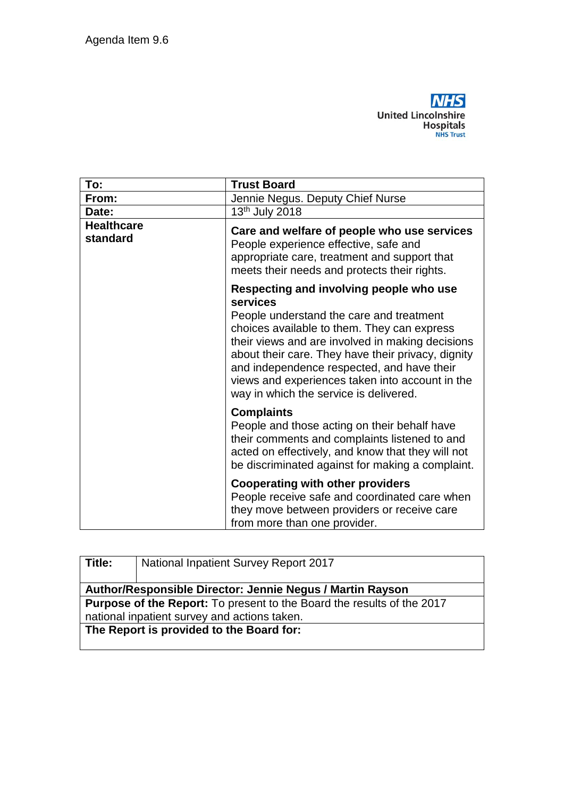

| To:                           | <b>Trust Board</b>                                                                                                                                                                                                                                                                                                                                                                                         |
|-------------------------------|------------------------------------------------------------------------------------------------------------------------------------------------------------------------------------------------------------------------------------------------------------------------------------------------------------------------------------------------------------------------------------------------------------|
| From:                         | Jennie Negus. Deputy Chief Nurse                                                                                                                                                                                                                                                                                                                                                                           |
| Date:                         | 13 <sup>th</sup> July 2018                                                                                                                                                                                                                                                                                                                                                                                 |
| <b>Healthcare</b><br>standard | Care and welfare of people who use services<br>People experience effective, safe and<br>appropriate care, treatment and support that<br>meets their needs and protects their rights.                                                                                                                                                                                                                       |
|                               | Respecting and involving people who use<br><b>services</b><br>People understand the care and treatment<br>choices available to them. They can express<br>their views and are involved in making decisions<br>about their care. They have their privacy, dignity<br>and independence respected, and have their<br>views and experiences taken into account in the<br>way in which the service is delivered. |
|                               | <b>Complaints</b><br>People and those acting on their behalf have<br>their comments and complaints listened to and<br>acted on effectively, and know that they will not<br>be discriminated against for making a complaint.                                                                                                                                                                                |
|                               | <b>Cooperating with other providers</b><br>People receive safe and coordinated care when<br>they move between providers or receive care<br>from more than one provider.                                                                                                                                                                                                                                    |

| Title:                                                                        | <b>National Inpatient Survey Report 2017</b> |  |
|-------------------------------------------------------------------------------|----------------------------------------------|--|
| Author/Responsible Director: Jennie Negus / Martin Rayson                     |                                              |  |
| <b>Purpose of the Report:</b> To present to the Board the results of the 2017 |                                              |  |
| national inpatient survey and actions taken.                                  |                                              |  |
| The Report is provided to the Board for:                                      |                                              |  |
|                                                                               |                                              |  |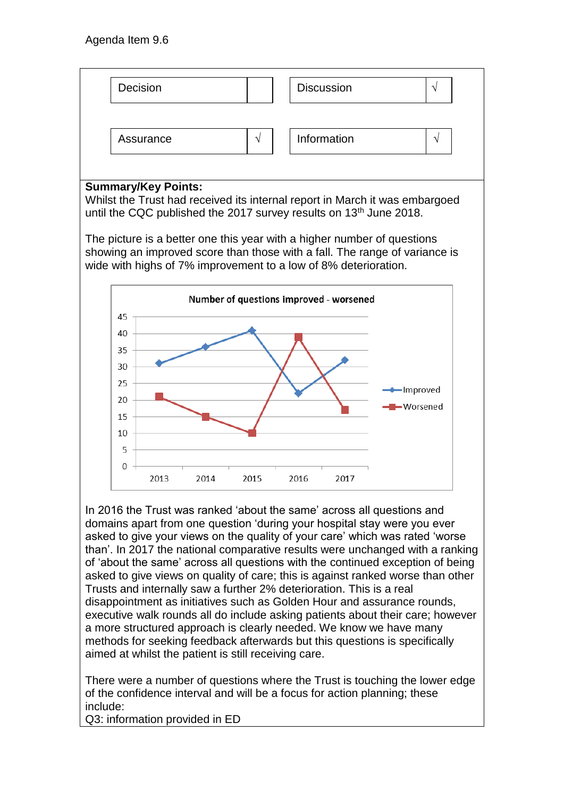

## **Summary/Key Points:**

Whilst the Trust had received its internal report in March it was embargoed until the CQC published the 2017 survey results on 13<sup>th</sup> June 2018.

The picture is a better one this year with a higher number of questions showing an improved score than those with a fall. The range of variance is wide with highs of 7% improvement to a low of 8% deterioration.



In 2016 the Trust was ranked 'about the same' across all questions and domains apart from one question 'during your hospital stay were you ever asked to give your views on the quality of your care' which was rated 'worse than'. In 2017 the national comparative results were unchanged with a ranking of 'about the same' across all questions with the continued exception of being asked to give views on quality of care; this is against ranked worse than other Trusts and internally saw a further 2% deterioration. This is a real disappointment as initiatives such as Golden Hour and assurance rounds, executive walk rounds all do include asking patients about their care; however a more structured approach is clearly needed. We know we have many methods for seeking feedback afterwards but this questions is specifically aimed at whilst the patient is still receiving care.

There were a number of questions where the Trust is touching the lower edge of the confidence interval and will be a focus for action planning; these include:

Q3: information provided in ED